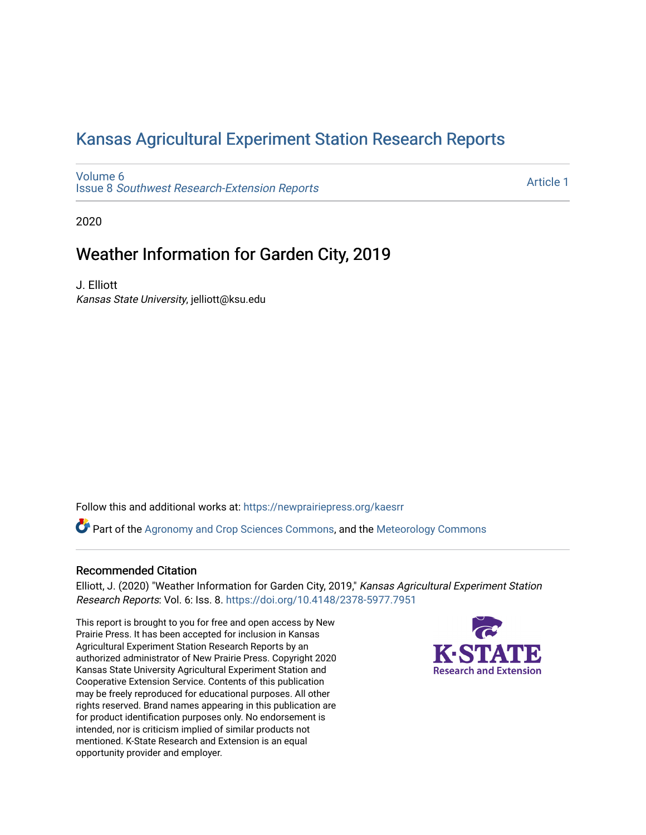## [Kansas Agricultural Experiment Station Research Reports](https://newprairiepress.org/kaesrr)

[Volume 6](https://newprairiepress.org/kaesrr/vol6) Issue 8 [Southwest Research-Extension Reports](https://newprairiepress.org/kaesrr/vol6/iss8) 

[Article 1](https://newprairiepress.org/kaesrr/vol6/iss8/1) 

2020

## Weather Information for Garden City, 2019

J. Elliott Kansas State University, jelliott@ksu.edu

Follow this and additional works at: [https://newprairiepress.org/kaesrr](https://newprairiepress.org/kaesrr?utm_source=newprairiepress.org%2Fkaesrr%2Fvol6%2Fiss8%2F1&utm_medium=PDF&utm_campaign=PDFCoverPages) 

Part of the [Agronomy and Crop Sciences Commons,](http://network.bepress.com/hgg/discipline/103?utm_source=newprairiepress.org%2Fkaesrr%2Fvol6%2Fiss8%2F1&utm_medium=PDF&utm_campaign=PDFCoverPages) and the [Meteorology Commons](http://network.bepress.com/hgg/discipline/190?utm_source=newprairiepress.org%2Fkaesrr%2Fvol6%2Fiss8%2F1&utm_medium=PDF&utm_campaign=PDFCoverPages)

#### Recommended Citation

Elliott, J. (2020) "Weather Information for Garden City, 2019," Kansas Agricultural Experiment Station Research Reports: Vol. 6: Iss. 8.<https://doi.org/10.4148/2378-5977.7951>

This report is brought to you for free and open access by New Prairie Press. It has been accepted for inclusion in Kansas Agricultural Experiment Station Research Reports by an authorized administrator of New Prairie Press. Copyright 2020 Kansas State University Agricultural Experiment Station and Cooperative Extension Service. Contents of this publication may be freely reproduced for educational purposes. All other rights reserved. Brand names appearing in this publication are for product identification purposes only. No endorsement is intended, nor is criticism implied of similar products not mentioned. K-State Research and Extension is an equal opportunity provider and employer.

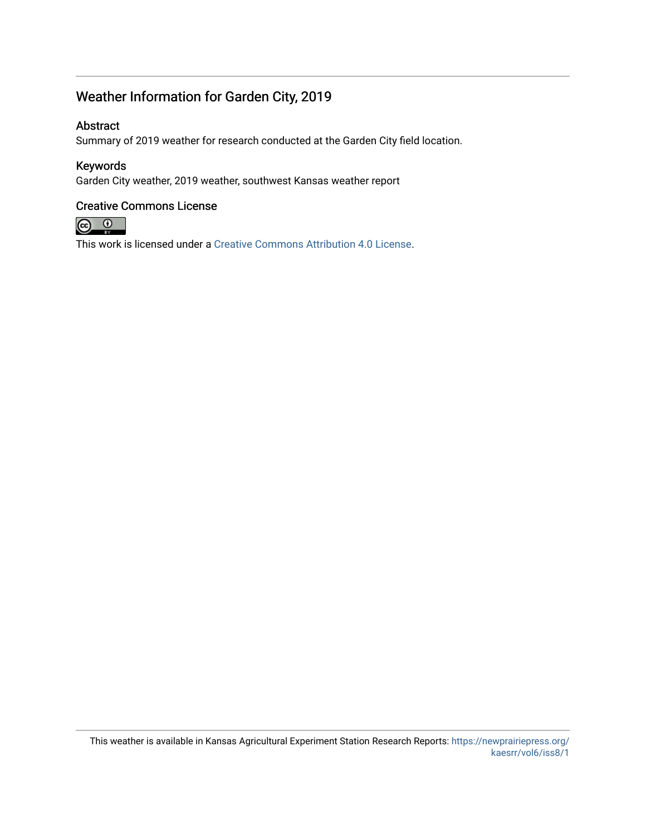### Weather Information for Garden City, 2019

#### Abstract

Summary of 2019 weather for research conducted at the Garden City field location.

#### Keywords

Garden City weather, 2019 weather, southwest Kansas weather report

#### Creative Commons License



This work is licensed under a [Creative Commons Attribution 4.0 License](https://creativecommons.org/licenses/by/4.0/).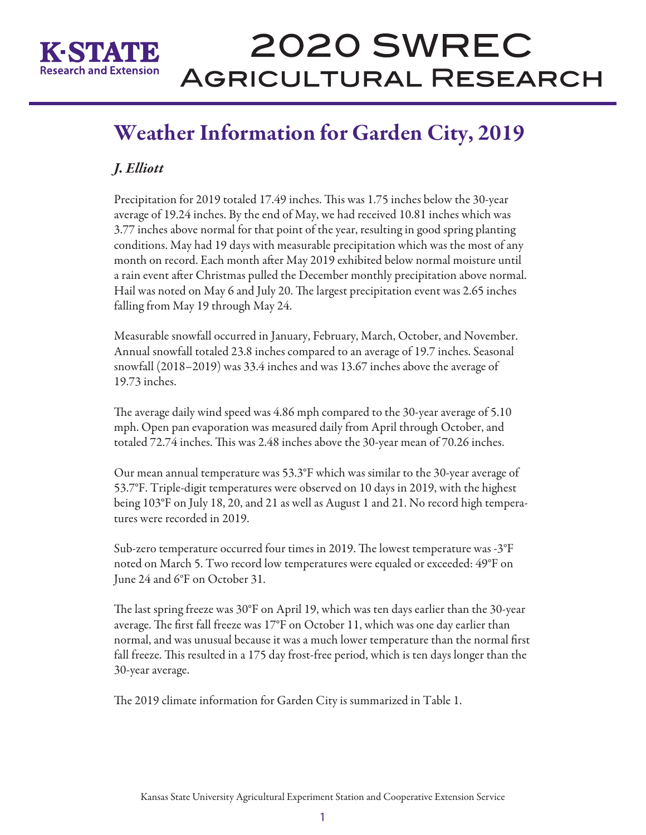

# **2020 SWREC AGRICULTURAL RESEARCH**

## Weather Information for Garden City, 2019

## *J. Elliott*

Precipitation for 2019 totaled 17.49 inches. This was 1.75 inches below the 30-year average of 19.24 inches. By the end of May, we had received 10.81 inches which was 3.77 inches above normal for that point of the year, resulting in good spring planting conditions. May had 19 days with measurable precipitation which was the most of any month on record. Each month after May 2019 exhibited below normal moisture until a rain event after Christmas pulled the December monthly precipitation above normal. Hail was noted on May 6 and July 20. The largest precipitation event was 2.65 inches falling from May 19 through May 24.

Measurable snowfall occurred in January, February, March, October, and November. Annual snowfall totaled 23.8 inches compared to an average of 19.7 inches. Seasonal snowfall (2018–2019) was 33.4 inches and was 13.67 inches above the average of 19.73 inches.

The average daily wind speed was 4.86 mph compared to the 30-year average of 5.10 mph. Open pan evaporation was measured daily from April through October, and totaled 72.74 inches. This was 2.48 inches above the 30-year mean of 70.26 inches.

Our mean annual temperature was 53.3°F which was similar to the 30-year average of 53.7°F. Triple-digit temperatures were observed on 10 days in 2019, with the highest being 103°F on July 18, 20, and 21 as well as August 1 and 21. No record high temperatures were recorded in 2019.

Sub-zero temperature occurred four times in 2019. The lowest temperature was -3°F noted on March 5. Two record low temperatures were equaled or exceeded: 49°F on June 24 and 6°F on October 31.

The last spring freeze was 30°F on April 19, which was ten days earlier than the 30-year average. The first fall freeze was 17°F on October 11, which was one day earlier than normal, and was unusual because it was a much lower temperature than the normal first fall freeze. This resulted in a 175 day frost-free period, which is ten days longer than the 30-year average.

The 2019 climate information for Garden City is summarized in Table 1.